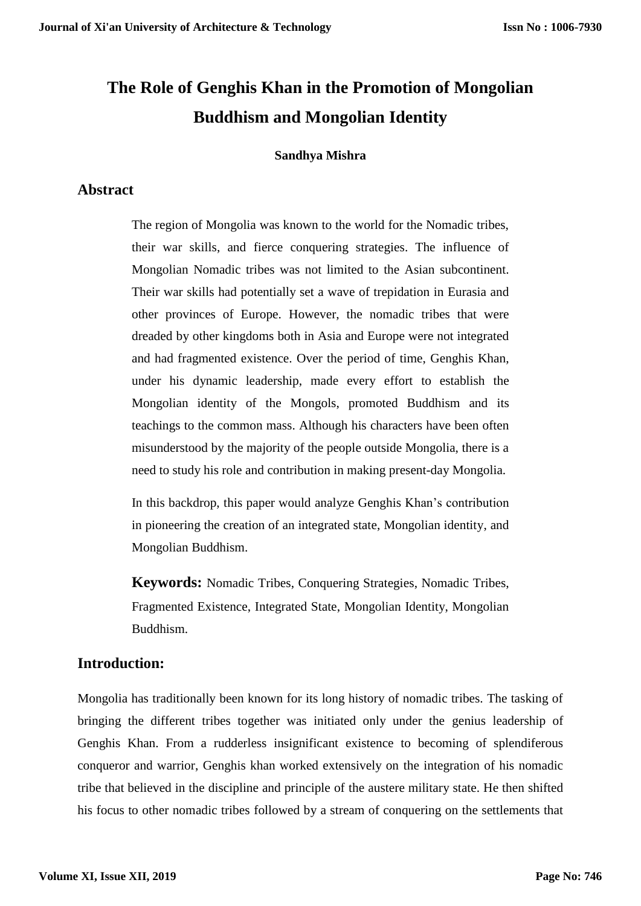# **The Role of Genghis Khan in the Promotion of Mongolian Buddhism and Mongolian Identity**

#### **Sandhya Mishra**

### **Abstract**

The region of Mongolia was known to the world for the Nomadic tribes, their war skills, and fierce conquering strategies. The influence of Mongolian Nomadic tribes was not limited to the Asian subcontinent. Their war skills had potentially set a wave of trepidation in Eurasia and other provinces of Europe. However, the nomadic tribes that were dreaded by other kingdoms both in Asia and Europe were not integrated and had fragmented existence. Over the period of time, Genghis Khan, under his dynamic leadership, made every effort to establish the Mongolian identity of the Mongols, promoted Buddhism and its teachings to the common mass. Although his characters have been often misunderstood by the majority of the people outside Mongolia, there is a need to study his role and contribution in making present-day Mongolia.

In this backdrop, this paper would analyze Genghis Khan's contribution in pioneering the creation of an integrated state, Mongolian identity, and Mongolian Buddhism.

**Keywords:** Nomadic Tribes, Conquering Strategies, Nomadic Tribes, Fragmented Existence, Integrated State, Mongolian Identity, Mongolian Buddhism.

#### **Introduction:**

Mongolia has traditionally been known for its long history of nomadic tribes. The tasking of bringing the different tribes together was initiated only under the genius leadership of Genghis Khan. From a rudderless insignificant existence to becoming of splendiferous conqueror and warrior, Genghis khan worked extensively on the integration of his nomadic tribe that believed in the discipline and principle of the austere military state. He then shifted his focus to other nomadic tribes followed by a stream of conquering on the settlements that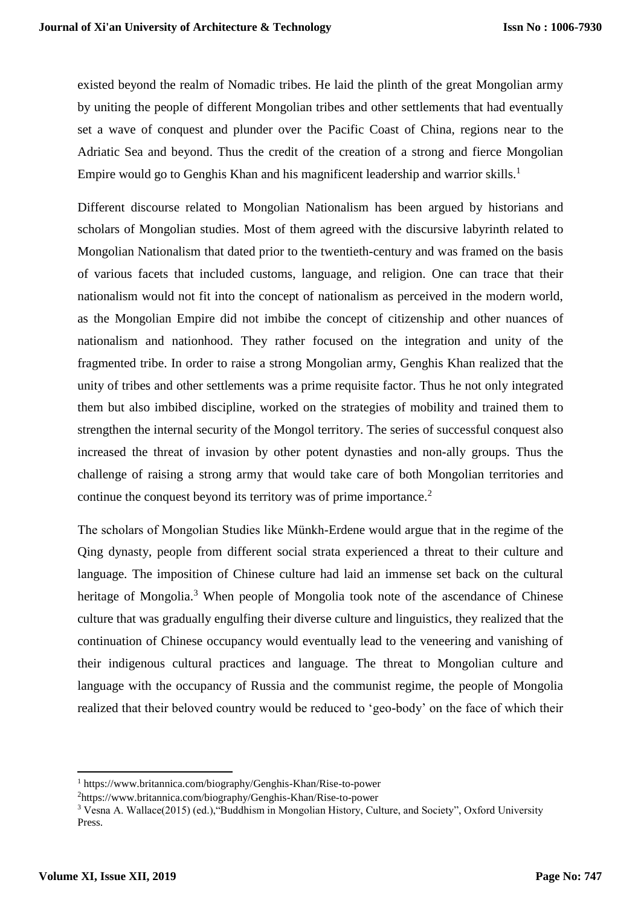existed beyond the realm of Nomadic tribes. He laid the plinth of the great Mongolian army by uniting the people of different Mongolian tribes and other settlements that had eventually set a wave of conquest and plunder over the Pacific Coast of China, regions near to the Adriatic Sea and beyond. Thus the credit of the creation of a strong and fierce Mongolian Empire would go to Genghis Khan and his magnificent leadership and warrior skills.<sup>1</sup>

Different discourse related to Mongolian Nationalism has been argued by historians and scholars of Mongolian studies. Most of them agreed with the discursive labyrinth related to Mongolian Nationalism that dated prior to the twentieth-century and was framed on the basis of various facets that included customs, language, and religion. One can trace that their nationalism would not fit into the concept of nationalism as perceived in the modern world, as the Mongolian Empire did not imbibe the concept of citizenship and other nuances of nationalism and nationhood. They rather focused on the integration and unity of the fragmented tribe. In order to raise a strong Mongolian army, Genghis Khan realized that the unity of tribes and other settlements was a prime requisite factor. Thus he not only integrated them but also imbibed discipline, worked on the strategies of mobility and trained them to strengthen the internal security of the Mongol territory. The series of successful conquest also increased the threat of invasion by other potent dynasties and non-ally groups. Thus the challenge of raising a strong army that would take care of both Mongolian territories and continue the conquest beyond its territory was of prime importance.<sup>2</sup>

The scholars of Mongolian Studies like Münkh-Erdene would argue that in the regime of the Qing dynasty, people from different social strata experienced a threat to their culture and language. The imposition of Chinese culture had laid an immense set back on the cultural heritage of Mongolia.<sup>3</sup> When people of Mongolia took note of the ascendance of Chinese culture that was gradually engulfing their diverse culture and linguistics, they realized that the continuation of Chinese occupancy would eventually lead to the veneering and vanishing of their indigenous cultural practices and language. The threat to Mongolian culture and language with the occupancy of Russia and the communist regime, the people of Mongolia realized that their beloved country would be reduced to 'geo-body' on the face of which their

**.** 

<sup>1</sup> https://www.britannica.com/biography/Genghis-Khan/Rise-to-power

<sup>&</sup>lt;sup>2</sup>https://www.britannica.com/biography/Genghis-Khan/Rise-to-power

<sup>3</sup> Vesna A. Wallace(2015) (ed.),"Buddhism in Mongolian History, Culture, and Society", Oxford University Press.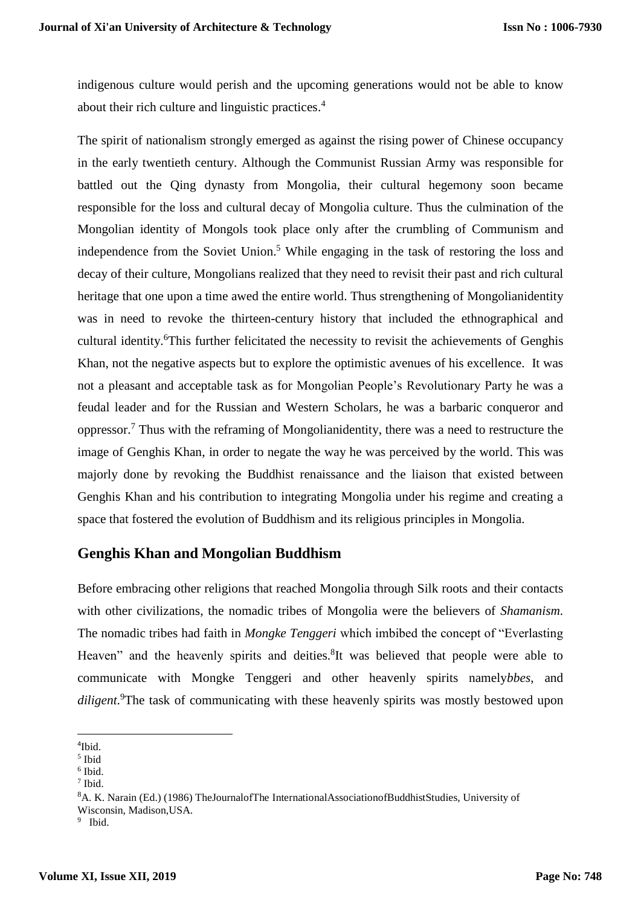indigenous culture would perish and the upcoming generations would not be able to know about their rich culture and linguistic practices. 4

The spirit of nationalism strongly emerged as against the rising power of Chinese occupancy in the early twentieth century. Although the Communist Russian Army was responsible for battled out the Qing dynasty from Mongolia, their cultural hegemony soon became responsible for the loss and cultural decay of Mongolia culture. Thus the culmination of the Mongolian identity of Mongols took place only after the crumbling of Communism and independence from the Soviet Union. <sup>5</sup> While engaging in the task of restoring the loss and decay of their culture, Mongolians realized that they need to revisit their past and rich cultural heritage that one upon a time awed the entire world. Thus strengthening of Mongolianidentity was in need to revoke the thirteen-century history that included the ethnographical and cultural identity.<sup>6</sup>This further felicitated the necessity to revisit the achievements of Genghis Khan, not the negative aspects but to explore the optimistic avenues of his excellence. It was not a pleasant and acceptable task as for Mongolian People's Revolutionary Party he was a feudal leader and for the Russian and Western Scholars, he was a barbaric conqueror and oppressor. <sup>7</sup> Thus with the reframing of Mongolianidentity, there was a need to restructure the image of Genghis Khan, in order to negate the way he was perceived by the world. This was majorly done by revoking the Buddhist renaissance and the liaison that existed between Genghis Khan and his contribution to integrating Mongolia under his regime and creating a space that fostered the evolution of Buddhism and its religious principles in Mongolia.

#### **Genghis Khan and Mongolian Buddhism**

Before embracing other religions that reached Mongolia through Silk roots and their contacts with other civilizations, the nomadic tribes of Mongolia were the believers of *Shamanism*. The nomadic tribes had faith in *Mongke Tenggeri* which imbibed the concept of "Everlasting Heaven" and the heavenly spirits and deities.<sup>8</sup>It was believed that people were able to communicate with Mongke Tenggeri and other heavenly spirits namely*bbes*, and *diligent*. <sup>9</sup>The task of communicating with these heavenly spirits was mostly bestowed upon

**.** 

<sup>4</sup> Ibid.

<sup>5</sup> Ibid

<sup>6</sup> Ibid.

<sup>7</sup> Ibid.

<sup>&</sup>lt;sup>8</sup>A. K. Narain (Ed.) (1986) TheJournalofThe InternationalAssociationofBuddhistStudies, University of Wisconsin, Madison,USA.

<sup>&</sup>lt;sup>9</sup> Ibid.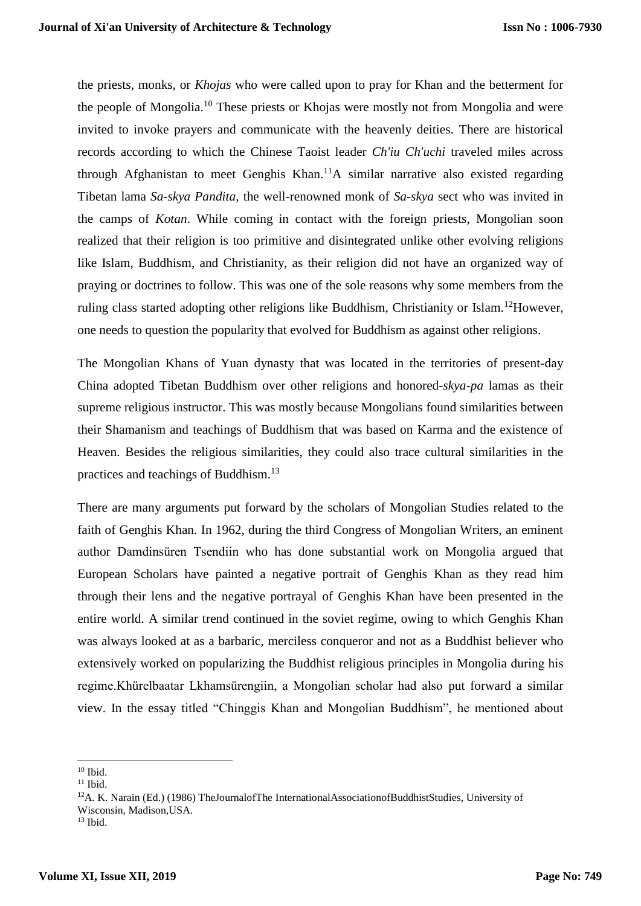the priests, monks, or *Khojas* who were called upon to pray for Khan and the betterment for the people of Mongolia.<sup>10</sup> These priests or Khojas were mostly not from Mongolia and were invited to invoke prayers and communicate with the heavenly deities. There are historical records according to which the Chinese Taoist leader *Ch'iu Ch'uchi* traveled miles across through Afghanistan to meet Genghis Khan.<sup>11</sup>A similar narrative also existed regarding Tibetan lama *Sa-skya Pandita*, the well-renowned monk of *Sa-skya* sect who was invited in the camps of *Kotan*. While coming in contact with the foreign priests, Mongolian soon realized that their religion is too primitive and disintegrated unlike other evolving religions like Islam, Buddhism, and Christianity, as their religion did not have an organized way of praying or doctrines to follow. This was one of the sole reasons why some members from the ruling class started adopting other religions like Buddhism, Christianity or Islam.<sup>12</sup>However, one needs to question the popularity that evolved for Buddhism as against other religions.

The Mongolian Khans of Yuan dynasty that was located in the territories of present-day China adopted Tibetan Buddhism over other religions and honored*-skya-pa* lamas as their supreme religious instructor. This was mostly because Mongolians found similarities between their Shamanism and teachings of Buddhism that was based on Karma and the existence of Heaven. Besides the religious similarities, they could also trace cultural similarities in the practices and teachings of Buddhism.<sup>13</sup>

There are many arguments put forward by the scholars of Mongolian Studies related to the faith of Genghis Khan. In 1962, during the third Congress of Mongolian Writers, an eminent author Damdinsüren Tsendiin who has done substantial work on Mongolia argued that European Scholars have painted a negative portrait of Genghis Khan as they read him through their lens and the negative portrayal of Genghis Khan have been presented in the entire world. A similar trend continued in the soviet regime, owing to which Genghis Khan was always looked at as a barbaric, merciless conqueror and not as a Buddhist believer who extensively worked on popularizing the Buddhist religious principles in Mongolia during his regime.Khürelbaatar Lkhamsürengiin, a Mongolian scholar had also put forward a similar view. In the essay titled "Chinggis Khan and Mongolian Buddhism", he mentioned about

<sup>1</sup>  $10$  Ibid.

 $11$  Ibid.

<sup>12</sup>A. K. Narain (Ed.) (1986) TheJournalofThe InternationalAssociationofBuddhistStudies, University of Wisconsin, Madison,USA.

 $13$  Ibid.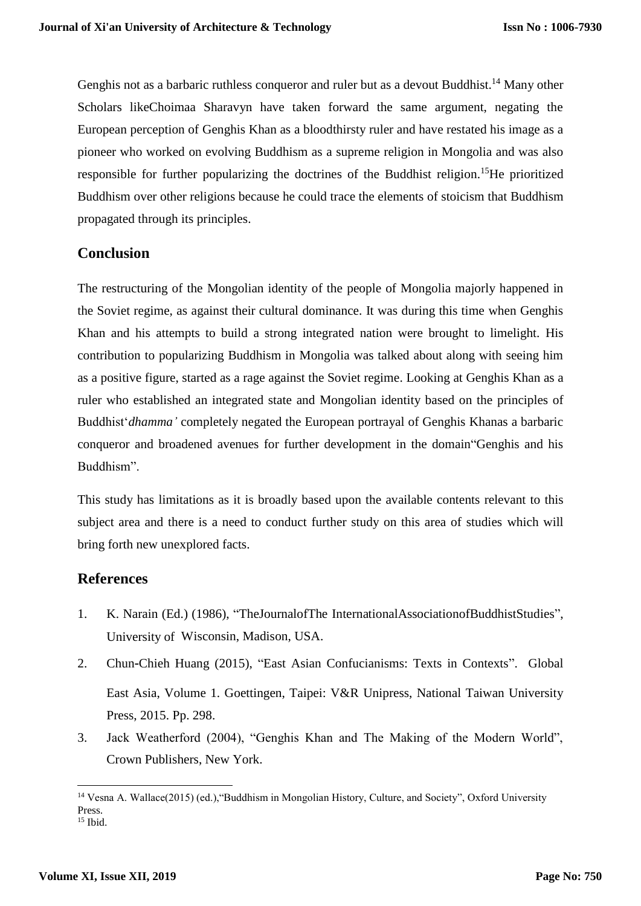Genghis not as a barbaric ruthless conqueror and ruler but as a devout Buddhist.<sup>14</sup> Many other Scholars likeChoimaa Sharavyn have taken forward the same argument, negating the European perception of Genghis Khan as a bloodthirsty ruler and have restated his image as a pioneer who worked on evolving Buddhism as a supreme religion in Mongolia and was also responsible for further popularizing the doctrines of the Buddhist religion.<sup>15</sup>He prioritized Buddhism over other religions because he could trace the elements of stoicism that Buddhism propagated through its principles.

## **Conclusion**

The restructuring of the Mongolian identity of the people of Mongolia majorly happened in the Soviet regime, as against their cultural dominance. It was during this time when Genghis Khan and his attempts to build a strong integrated nation were brought to limelight. His contribution to popularizing Buddhism in Mongolia was talked about along with seeing him as a positive figure, started as a rage against the Soviet regime. Looking at Genghis Khan as a ruler who established an integrated state and Mongolian identity based on the principles of Buddhist'*dhamma'* completely negated the European portrayal of Genghis Khanas a barbaric conqueror and broadened avenues for further development in the domain"Genghis and his Buddhism".

This study has limitations as it is broadly based upon the available contents relevant to this subject area and there is a need to conduct further study on this area of studies which will bring forth new unexplored facts.

## **References**

- 1. K. Narain (Ed.) (1986), "TheJournalofThe InternationalAssociationofBuddhistStudies", University of Wisconsin, Madison, USA.
- 2. Chun‐Chieh Huang (2015), "East Asian Confucianisms: Texts in Contexts". Global East Asia, Volume 1. Goettingen, Taipei: V&R Unipress, National Taiwan University Press, 2015. Pp. 298.
- 3. Jack Weatherford (2004), "Genghis Khan and The Making of the Modern World", Crown Publishers, New York.

 $\overline{a}$ 

<sup>14</sup> Vesna A. Wallace(2015) (ed.),"Buddhism in Mongolian History, Culture, and Society", Oxford University Press.  $15$  Ibid.